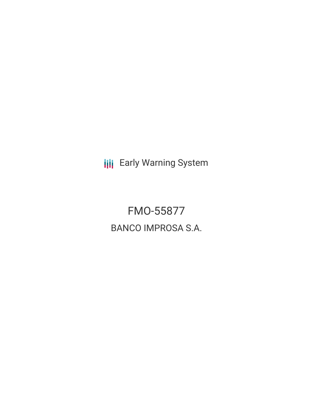**III** Early Warning System

FMO-55877 BANCO IMPROSA S.A.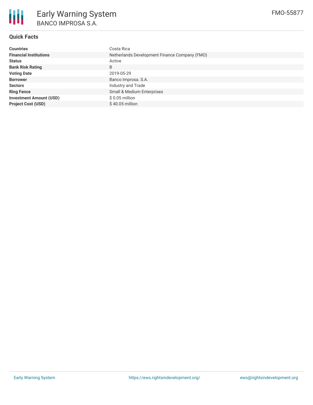

# **Quick Facts**

| <b>Countries</b>               | Costa Rica                                    |
|--------------------------------|-----------------------------------------------|
| <b>Financial Institutions</b>  | Netherlands Development Finance Company (FMO) |
| <b>Status</b>                  | Active                                        |
| <b>Bank Risk Rating</b>        | B                                             |
| <b>Voting Date</b>             | 2019-05-29                                    |
| <b>Borrower</b>                | Banco Improsa. S.A.                           |
| <b>Sectors</b>                 | Industry and Trade                            |
| <b>Ring Fence</b>              | Small & Medium Enterprises                    |
| <b>Investment Amount (USD)</b> | $$0.05$ million                               |
| <b>Project Cost (USD)</b>      | $$40.05$ million                              |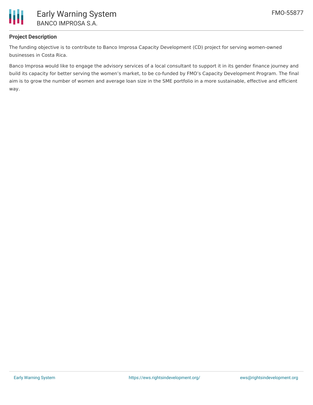

# **Project Description**

The funding objective is to contribute to Banco Improsa Capacity Development (CD) project for serving women-owned businesses in Costa Rica.

Banco Improsa would like to engage the advisory services of a local consultant to support it in its gender finance journey and build its capacity for better serving the women's market, to be co-funded by FMO's Capacity Development Program. The final aim is to grow the number of women and average loan size in the SME portfolio in a more sustainable, effective and efficient way.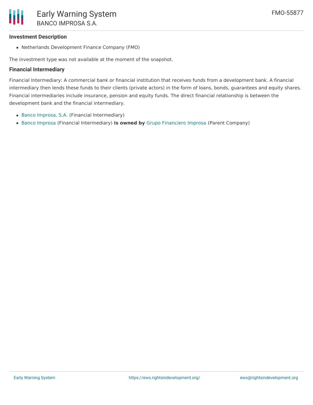#### **Investment Description**

• Netherlands Development Finance Company (FMO)

The investment type was not available at the moment of the snapshot.

#### **Financial Intermediary**

Financial Intermediary: A commercial bank or financial institution that receives funds from a development bank. A financial intermediary then lends these funds to their clients (private actors) in the form of loans, bonds, guarantees and equity shares. Financial intermediaries include insurance, pension and equity funds. The direct financial relationship is between the development bank and the financial intermediary.

- Banco [Improsa,](file:///actor/1486/) S.A. (Financial Intermediary)
- Banco [Improsa](file:///actor/3977/) (Financial Intermediary) **is owned by** Grupo [Financiero](file:///actor/4043/) Improsa (Parent Company)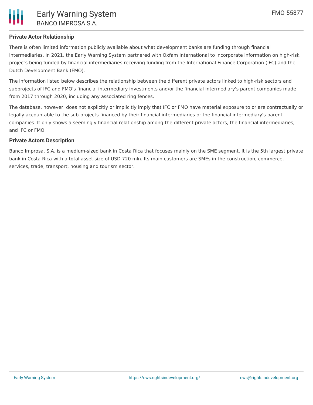

## **Private Actor Relationship**

There is often limited information publicly available about what development banks are funding through financial intermediaries. In 2021, the Early Warning System partnered with Oxfam International to incorporate information on high-risk projects being funded by financial intermediaries receiving funding from the International Finance Corporation (IFC) and the Dutch Development Bank (FMO).

The information listed below describes the relationship between the different private actors linked to high-risk sectors and subprojects of IFC and FMO's financial intermediary investments and/or the financial intermediary's parent companies made from 2017 through 2020, including any associated ring fences.

The database, however, does not explicitly or implicitly imply that IFC or FMO have material exposure to or are contractually or legally accountable to the sub-projects financed by their financial intermediaries or the financial intermediary's parent companies. It only shows a seemingly financial relationship among the different private actors, the financial intermediaries, and IFC or FMO.

## **Private Actors Description**

Banco Improsa. S.A. is a medium-sized bank in Costa Rica that focuses mainly on the SME segment. It is the 5th largest private bank in Costa Rica with a total asset size of USD 720 mln. Its main customers are SMEs in the construction, commerce, services, trade, transport, housing and tourism sector.